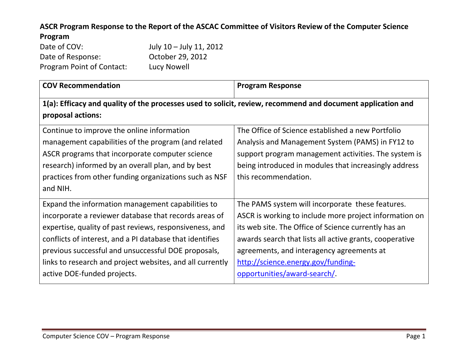| Date of COV:                     | July 10 - July 11, 2012 |
|----------------------------------|-------------------------|
| Date of Response:                | October 29, 2012        |
| <b>Program Point of Contact:</b> | Lucy Nowell             |

| <b>COV Recommendation</b>                                                                                   | <b>Program Response</b>                                 |
|-------------------------------------------------------------------------------------------------------------|---------------------------------------------------------|
| 1(a): Efficacy and quality of the processes used to solicit, review, recommend and document application and |                                                         |
| proposal actions:                                                                                           |                                                         |
| Continue to improve the online information                                                                  | The Office of Science established a new Portfolio       |
| management capabilities of the program (and related                                                         | Analysis and Management System (PAMS) in FY12 to        |
| ASCR programs that incorporate computer science                                                             | support program management activities. The system is    |
| research) informed by an overall plan, and by best                                                          | being introduced in modules that increasingly address   |
| practices from other funding organizations such as NSF                                                      | this recommendation.                                    |
| and NIH.                                                                                                    |                                                         |
| Expand the information management capabilities to                                                           | The PAMS system will incorporate these features.        |
| incorporate a reviewer database that records areas of                                                       | ASCR is working to include more project information on  |
| expertise, quality of past reviews, responsiveness, and                                                     | its web site. The Office of Science currently has an    |
| conflicts of interest, and a PI database that identifies                                                    | awards search that lists all active grants, cooperative |
| previous successful and unsuccessful DOE proposals,                                                         | agreements, and interagency agreements at               |
| links to research and project websites, and all currently                                                   | http://science.energy.gov/funding-                      |
| active DOE-funded projects.                                                                                 | opportunities/award-search/                             |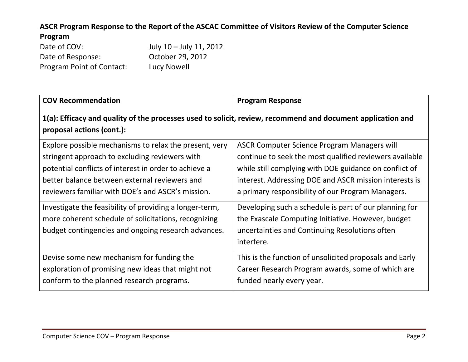| Date of COV:              | July 10 - July 11, 2012 |
|---------------------------|-------------------------|
| Date of Response:         | October 29, 2012        |
| Program Point of Contact: | Lucy Nowell             |

| <b>COV Recommendation</b>                                                                                   | <b>Program Response</b>                                 |
|-------------------------------------------------------------------------------------------------------------|---------------------------------------------------------|
| 1(a): Efficacy and quality of the processes used to solicit, review, recommend and document application and |                                                         |
| proposal actions (cont.):                                                                                   |                                                         |
| Explore possible mechanisms to relax the present, very                                                      | ASCR Computer Science Program Managers will             |
| stringent approach to excluding reviewers with                                                              | continue to seek the most qualified reviewers available |
| potential conflicts of interest in order to achieve a                                                       | while still complying with DOE guidance on conflict of  |
| better balance between external reviewers and                                                               | interest. Addressing DOE and ASCR mission interests is  |
| reviewers familiar with DOE's and ASCR's mission.                                                           | a primary responsibility of our Program Managers.       |
| Investigate the feasibility of providing a longer-term,                                                     | Developing such a schedule is part of our planning for  |
| more coherent schedule of solicitations, recognizing                                                        | the Exascale Computing Initiative. However, budget      |
| budget contingencies and ongoing research advances.                                                         | uncertainties and Continuing Resolutions often          |
|                                                                                                             | interfere.                                              |
| Devise some new mechanism for funding the                                                                   | This is the function of unsolicited proposals and Early |
| exploration of promising new ideas that might not                                                           | Career Research Program awards, some of which are       |
| conform to the planned research programs.                                                                   | funded nearly every year.                               |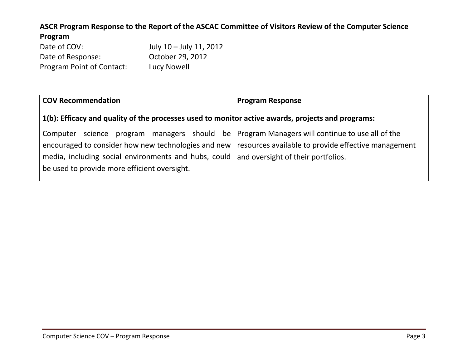| Date of COV:                     | July 10 - July 11, 2012 |
|----------------------------------|-------------------------|
| Date of Response:                | October 29, 2012        |
| <b>Program Point of Contact:</b> | Lucy Nowell             |

| <b>COV Recommendation</b>                                                                                 | <b>Program Response</b> |
|-----------------------------------------------------------------------------------------------------------|-------------------------|
| 1(b): Efficacy and quality of the processes used to monitor active awards, projects and programs:         |                         |
| Computer science program managers should be   Program Managers will continue to use all of the            |                         |
| encouraged to consider how new technologies and new   resources available to provide effective management |                         |
| media, including social environments and hubs, could $\vert$ and oversight of their portfolios.           |                         |
| be used to provide more efficient oversight.                                                              |                         |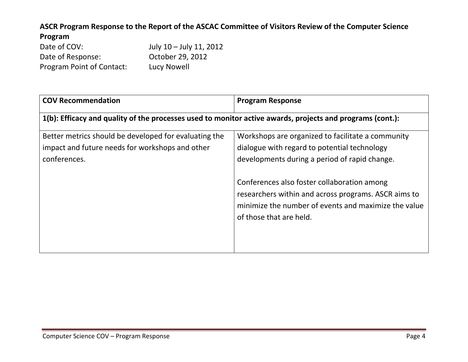| Date of COV:                     | July 10 - July 11, 2012 |
|----------------------------------|-------------------------|
| Date of Response:                | October 29, 2012        |
| <b>Program Point of Contact:</b> | Lucy Nowell             |

| <b>COV Recommendation</b>                                                                                                | <b>Program Response</b>                                                                                                                                                                                                                                                                                                                      |
|--------------------------------------------------------------------------------------------------------------------------|----------------------------------------------------------------------------------------------------------------------------------------------------------------------------------------------------------------------------------------------------------------------------------------------------------------------------------------------|
| 1(b): Efficacy and quality of the processes used to monitor active awards, projects and programs (cont.):                |                                                                                                                                                                                                                                                                                                                                              |
| Better metrics should be developed for evaluating the<br>impact and future needs for workshops and other<br>conferences. | Workshops are organized to facilitate a community<br>dialogue with regard to potential technology<br>developments during a period of rapid change.<br>Conferences also foster collaboration among<br>researchers within and across programs. ASCR aims to<br>minimize the number of events and maximize the value<br>of those that are held. |
|                                                                                                                          |                                                                                                                                                                                                                                                                                                                                              |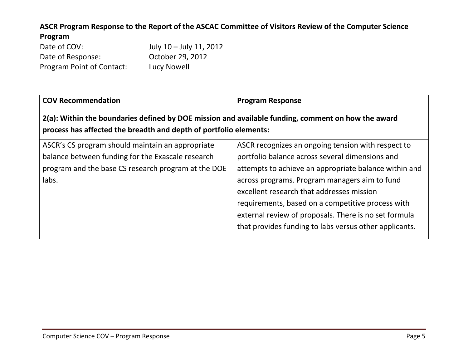| Date of COV:                     | July 10 - July 11, 2012 |
|----------------------------------|-------------------------|
| Date of Response:                | October 29, 2012        |
| <b>Program Point of Contact:</b> | Lucy Nowell             |

| <b>COV Recommendation</b>                                                                                                                                               | <b>Program Response</b>                                                                                                                                                                                                                                                                                                                                                                                                              |
|-------------------------------------------------------------------------------------------------------------------------------------------------------------------------|--------------------------------------------------------------------------------------------------------------------------------------------------------------------------------------------------------------------------------------------------------------------------------------------------------------------------------------------------------------------------------------------------------------------------------------|
| 2(a): Within the boundaries defined by DOE mission and available funding, comment on how the award<br>process has affected the breadth and depth of portfolio elements: |                                                                                                                                                                                                                                                                                                                                                                                                                                      |
| ASCR's CS program should maintain an appropriate<br>balance between funding for the Exascale research<br>program and the base CS research program at the DOE<br>labs.   | ASCR recognizes an ongoing tension with respect to<br>portfolio balance across several dimensions and<br>attempts to achieve an appropriate balance within and<br>across programs. Program managers aim to fund<br>excellent research that addresses mission<br>requirements, based on a competitive process with<br>external review of proposals. There is no set formula<br>that provides funding to labs versus other applicants. |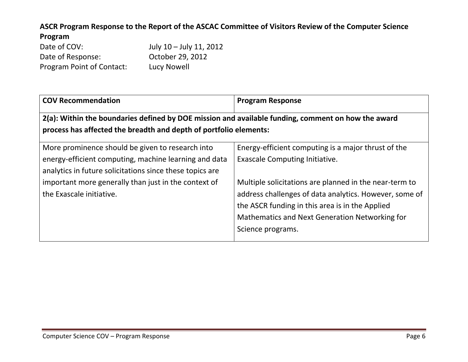| Date of COV:                     | July 10 - July 11, 2012 |
|----------------------------------|-------------------------|
| Date of Response:                | October 29, 2012        |
| <b>Program Point of Contact:</b> | Lucy Nowell             |

| <b>COV Recommendation</b>                                                                                                                                                                                                                                 | <b>Program Response</b>                                                                                                                                                                                          |
|-----------------------------------------------------------------------------------------------------------------------------------------------------------------------------------------------------------------------------------------------------------|------------------------------------------------------------------------------------------------------------------------------------------------------------------------------------------------------------------|
| 2(a): Within the boundaries defined by DOE mission and available funding, comment on how the award                                                                                                                                                        |                                                                                                                                                                                                                  |
| process has affected the breadth and depth of portfolio elements:                                                                                                                                                                                         |                                                                                                                                                                                                                  |
| More prominence should be given to research into<br>energy-efficient computing, machine learning and data<br>analytics in future solicitations since these topics are<br>important more generally than just in the context of<br>the Exascale initiative. | Energy-efficient computing is a major thrust of the<br><b>Exascale Computing Initiative.</b><br>Multiple solicitations are planned in the near-term to<br>address challenges of data analytics. However, some of |
|                                                                                                                                                                                                                                                           | the ASCR funding in this area is in the Applied<br>Mathematics and Next Generation Networking for<br>Science programs.                                                                                           |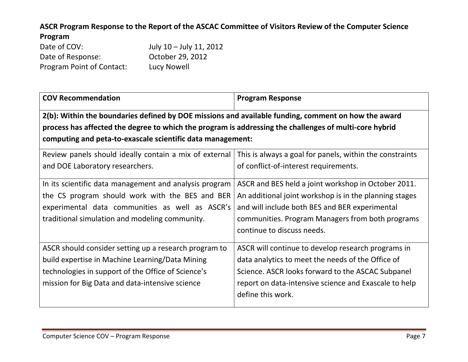### **Program** Date of COV: July 10 – July 11, 2012 Date of Response: October 29, 2012 Program Point of Contact: Lucy Nowell

| <b>COV Recommendation</b>                                                                                                                                                                                                                                                   | <b>Program Response</b>                                                                                                                                                                                                                           |  |
|-----------------------------------------------------------------------------------------------------------------------------------------------------------------------------------------------------------------------------------------------------------------------------|---------------------------------------------------------------------------------------------------------------------------------------------------------------------------------------------------------------------------------------------------|--|
| 2(b): Within the boundaries defined by DOE missions and available funding, comment on how the award<br>process has affected the degree to which the program is addressing the challenges of multi-core hybrid<br>computing and peta-to-exascale scientific data management: |                                                                                                                                                                                                                                                   |  |
| Review panels should ideally contain a mix of external<br>and DOE Laboratory researchers.                                                                                                                                                                                   | This is always a goal for panels, within the constraints<br>of conflict-of-interest requirements.                                                                                                                                                 |  |
| In its scientific data management and analysis program<br>the CS program should work with the BES and BER<br>experimental data communities as well as ASCR's<br>traditional simulation and modeling community.                                                              | ASCR and BES held a joint workshop in October 2011.<br>An additional joint workshop is in the planning stages<br>and will include both BES and BER experimental<br>communities. Program Managers from both programs<br>continue to discuss needs. |  |
| ASCR should consider setting up a research program to<br>build expertise in Machine Learning/Data Mining<br>technologies in support of the Office of Science's<br>mission for Big Data and data-intensive science                                                           | ASCR will continue to develop research programs in<br>data analytics to meet the needs of the Office of<br>Science. ASCR looks forward to the ASCAC Subpanel<br>report on data-intensive science and Exascale to help<br>define this work.        |  |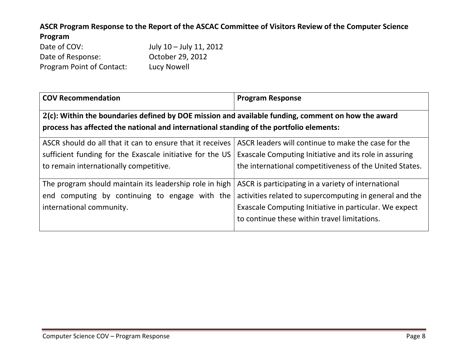| Date of COV:                     | July 10 - July 11, 2012 |
|----------------------------------|-------------------------|
| Date of Response:                | October 29, 2012        |
| <b>Program Point of Contact:</b> | Lucy Nowell             |

| <b>COV Recommendation</b>                                                                                                                                                                     | <b>Program Response</b>                                                                                                                                                                                                  |  |
|-----------------------------------------------------------------------------------------------------------------------------------------------------------------------------------------------|--------------------------------------------------------------------------------------------------------------------------------------------------------------------------------------------------------------------------|--|
| 2(c): Within the boundaries defined by DOE mission and available funding, comment on how the award<br>process has affected the national and international standing of the portfolio elements: |                                                                                                                                                                                                                          |  |
| ASCR should do all that it can to ensure that it receives<br>sufficient funding for the Exascale initiative for the US<br>to remain internationally competitive.                              | ASCR leaders will continue to make the case for the<br>Exascale Computing Initiative and its role in assuring<br>the international competitiveness of the United States.                                                 |  |
| The program should maintain its leadership role in high<br>end computing by continuing to engage with the<br>international community.                                                         | ASCR is participating in a variety of international<br>activities related to supercomputing in general and the<br>Exascale Computing Initiative in particular. We expect<br>to continue these within travel limitations. |  |